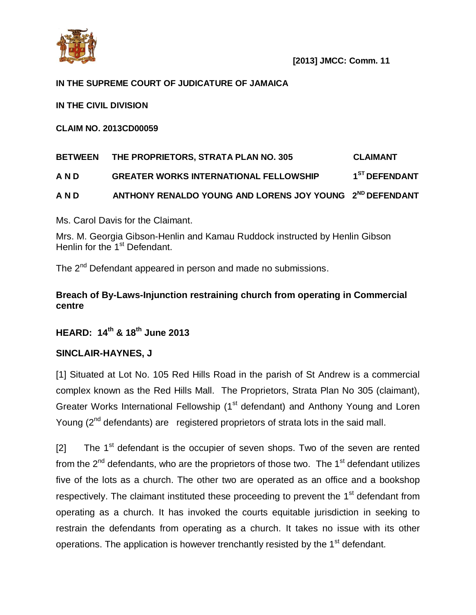

# **IN THE SUPREME COURT OF JUDICATURE OF JAMAICA**

**IN THE CIVIL DIVISION**

**CLAIM NO. 2013CD00059**

# **BETWEEN THE PROPRIETORS, STRATA PLAN NO. 305 CLAIMANT A N D GREATER WORKS INTERNATIONAL FELLOWSHIP 1 ST DEFENDANT A N D ANTHONY RENALDO YOUNG AND LORENS JOY YOUNG 2 ND DEFENDANT**

Ms. Carol Davis for the Claimant.

Mrs. M. Georgia Gibson-Henlin and Kamau Ruddock instructed by Henlin Gibson Henlin for the 1<sup>st</sup> Defendant.

The 2<sup>nd</sup> Defendant appeared in person and made no submissions.

# **Breach of By-Laws-Injunction restraining church from operating in Commercial centre**

# **HEARD: 14th & 18th June 2013**

#### **SINCLAIR-HAYNES, J**

[1] Situated at Lot No. 105 Red Hills Road in the parish of St Andrew is a commercial complex known as the Red Hills Mall. The Proprietors, Strata Plan No 305 (claimant), Greater Works International Fellowship (1<sup>st</sup> defendant) and Anthony Young and Loren Young  $(2^{nd}$  defendants) are registered proprietors of strata lots in the said mall.

[2] The  $1<sup>st</sup>$  defendant is the occupier of seven shops. Two of the seven are rented from the  $2^{nd}$  defendants, who are the proprietors of those two. The 1<sup>st</sup> defendant utilizes five of the lots as a church. The other two are operated as an office and a bookshop respectively. The claimant instituted these proceeding to prevent the 1<sup>st</sup> defendant from operating as a church. It has invoked the courts equitable jurisdiction in seeking to restrain the defendants from operating as a church. It takes no issue with its other operations. The application is however trenchantly resisted by the 1<sup>st</sup> defendant.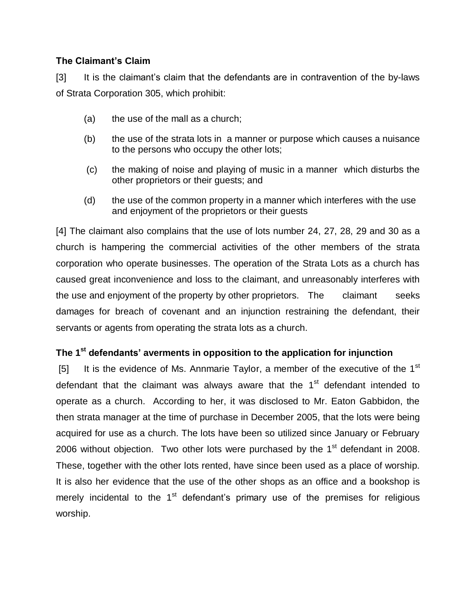# **The Claimant's Claim**

[3] It is the claimant's claim that the defendants are in contravention of the by-laws of Strata Corporation 305, which prohibit:

- (a) the use of the mall as a church;
- (b) the use of the strata lots in a manner or purpose which causes a nuisance to the persons who occupy the other lots;
- (c) the making of noise and playing of music in a manner which disturbs the other proprietors or their guests; and
- (d) the use of the common property in a manner which interferes with the use and enjoyment of the proprietors or their guests

[4] The claimant also complains that the use of lots number 24, 27, 28, 29 and 30 as a church is hampering the commercial activities of the other members of the strata corporation who operate businesses. The operation of the Strata Lots as a church has caused great inconvenience and loss to the claimant, and unreasonably interferes with the use and enjoyment of the property by other proprietors. The claimant seeks damages for breach of covenant and an injunction restraining the defendant, their servants or agents from operating the strata lots as a church.

# **The 1 st defendants' averments in opposition to the application for injunction**

[5] It is the evidence of Ms. Annmarie Taylor, a member of the executive of the  $1<sup>st</sup>$ defendant that the claimant was always aware that the 1<sup>st</sup> defendant intended to operate as a church. According to her, it was disclosed to Mr. Eaton Gabbidon, the then strata manager at the time of purchase in December 2005, that the lots were being acquired for use as a church. The lots have been so utilized since January or February 2006 without objection. Two other lots were purchased by the  $1<sup>st</sup>$  defendant in 2008. These, together with the other lots rented, have since been used as a place of worship. It is also her evidence that the use of the other shops as an office and a bookshop is merely incidental to the  $1<sup>st</sup>$  defendant's primary use of the premises for religious worship.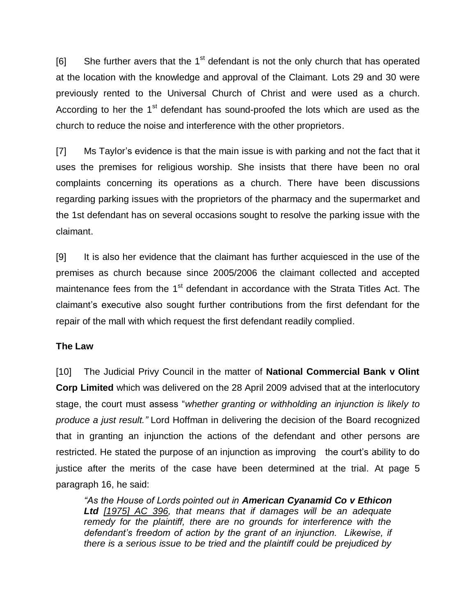[6] She further avers that the  $1<sup>st</sup>$  defendant is not the only church that has operated at the location with the knowledge and approval of the Claimant. Lots 29 and 30 were previously rented to the Universal Church of Christ and were used as a church. According to her the 1<sup>st</sup> defendant has sound-proofed the lots which are used as the church to reduce the noise and interference with the other proprietors.

[7] Ms Taylor's evidence is that the main issue is with parking and not the fact that it uses the premises for religious worship. She insists that there have been no oral complaints concerning its operations as a church. There have been discussions regarding parking issues with the proprietors of the pharmacy and the supermarket and the 1st defendant has on several occasions sought to resolve the parking issue with the claimant.

[9] It is also her evidence that the claimant has further acquiesced in the use of the premises as church because since 2005/2006 the claimant collected and accepted maintenance fees from the 1<sup>st</sup> defendant in accordance with the Strata Titles Act. The claimant's executive also sought further contributions from the first defendant for the repair of the mall with which request the first defendant readily complied.

#### **The Law**

[10] The Judicial Privy Council in the matter of **National Commercial Bank v Olint Corp Limited** which was delivered on the 28 April 2009 advised that at the interlocutory stage, the court must assess "*whether granting or withholding an injunction is likely to produce a just result."* Lord Hoffman in delivering the decision of the Board recognized that in granting an injunction the actions of the defendant and other persons are restricted. He stated the purpose of an injunction as improving the court's ability to do justice after the merits of the case have been determined at the trial. At page 5 paragraph 16, he said:

*"As the House of Lords pointed out in American Cyanamid Co v Ethicon Ltd [1975] AC 396, that means that if damages will be an adequate remedy for the plaintiff, there are no grounds for interference with the defendant's freedom of action by the grant of an injunction. Likewise, if there is a serious issue to be tried and the plaintiff could be prejudiced by*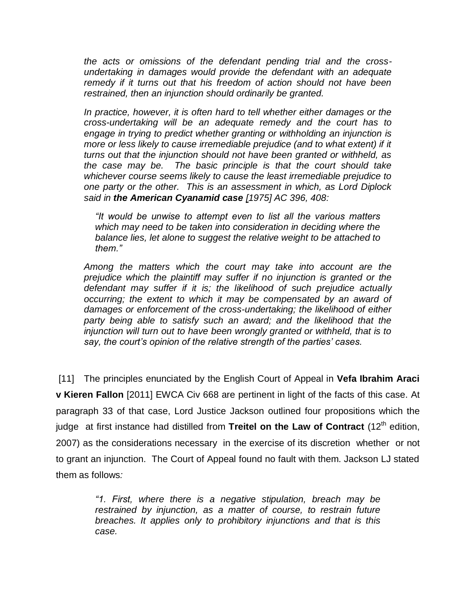*the acts or omissions of the defendant pending trial and the crossundertaking in damages would provide the defendant with an adequate remedy if it turns out that his freedom of action should not have been restrained, then an injunction should ordinarily be granted.*

*In practice, however, it is often hard to tell whether either damages or the cross-undertaking will be an adequate remedy and the court has to engage in trying to predict whether granting or withholding an injunction is more or less likely to cause irremediable prejudice (and to what extent) if it turns out that the injunction should not have been granted or withheld, as the case may be. The basic principle is that the court should take whichever course seems likely to cause the least irremediable prejudice to one party or the other. This is an assessment in which, as Lord Diplock said in the American Cyanamid case [1975] AC 396, 408:*

*"It would be unwise to attempt even to list all the various matters which may need to be taken into consideration in deciding where the balance lies, let alone to suggest the relative weight to be attached to them."*

*Among the matters which the court may take into account are the prejudice which the plaintiff may suffer if no injunction is granted or the defendant may suffer if it is; the likelihood of such prejudice actually occurring; the extent to which it may be compensated by an award of damages or enforcement of the cross-undertaking; the likelihood of either party being able to satisfy such an award; and the likelihood that the injunction will turn out to have been wrongly granted or withheld, that is to say, the court's opinion of the relative strength of the parties' cases.*

[11] The principles enunciated by the English Court of Appeal in **Vefa Ibrahim Araci v Kieren Fallon** [2011] EWCA Civ 668 are pertinent in light of the facts of this case. At paragraph 33 of that case, Lord Justice Jackson outlined four propositions which the judge at first instance had distilled from Treitel on the Law of Contract (12<sup>th</sup> edition, 2007) as the considerations necessary in the exercise of its discretion whether or not to grant an injunction. The Court of Appeal found no fault with them. Jackson LJ stated them as follows*:*

> *"1. First, where there is a negative stipulation, breach may be restrained by injunction, as a matter of course, to restrain future breaches. It applies only to prohibitory injunctions and that is this case.*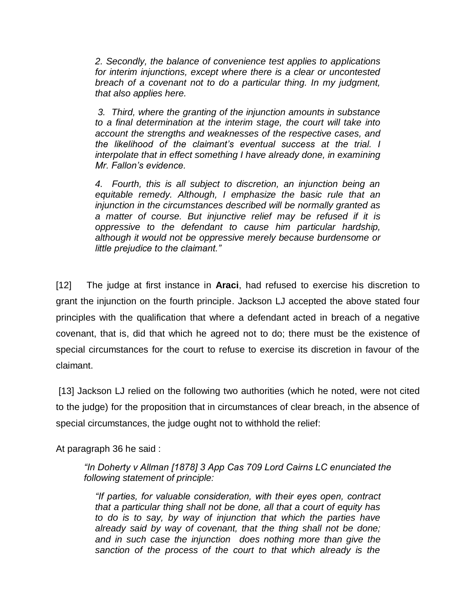*2. Secondly, the balance of convenience test applies to applications for interim injunctions, except where there is a clear or uncontested breach of a covenant not to do a particular thing. In my judgment, that also applies here.*

*3. Third, where the granting of the injunction amounts in substance to a final determination at the interim stage, the court will take into account the strengths and weaknesses of the respective cases, and the likelihood of the claimant's eventual success at the trial. I interpolate that in effect something I have already done, in examining Mr. Fallon's evidence.* 

*4. Fourth, this is all subject to discretion, an injunction being an equitable remedy. Although, I emphasize the basic rule that an injunction in the circumstances described will be normally granted as a matter of course. But injunctive relief may be refused if it is oppressive to the defendant to cause him particular hardship, although it would not be oppressive merely because burdensome or little prejudice to the claimant."*

[12] The judge at first instance in **Araci**, had refused to exercise his discretion to grant the injunction on the fourth principle. Jackson LJ accepted the above stated four principles with the qualification that where a defendant acted in breach of a negative covenant, that is, did that which he agreed not to do; there must be the existence of special circumstances for the court to refuse to exercise its discretion in favour of the claimant.

[13] Jackson LJ relied on the following two authorities (which he noted, were not cited to the judge) for the proposition that in circumstances of clear breach, in the absence of special circumstances, the judge ought not to withhold the relief:

At paragraph 36 he said :

*"In Doherty v Allman [1878] 3 App Cas 709 Lord Cairns LC enunciated the following statement of principle:*

*"If parties, for valuable consideration, with their eyes open, contract that a particular thing shall not be done, all that a court of equity has to do is to say, by way of injunction that which the parties have already said by way of covenant, that the thing shall not be done; and in such case the injunction does nothing more than give the sanction of the process of the court to that which already is the*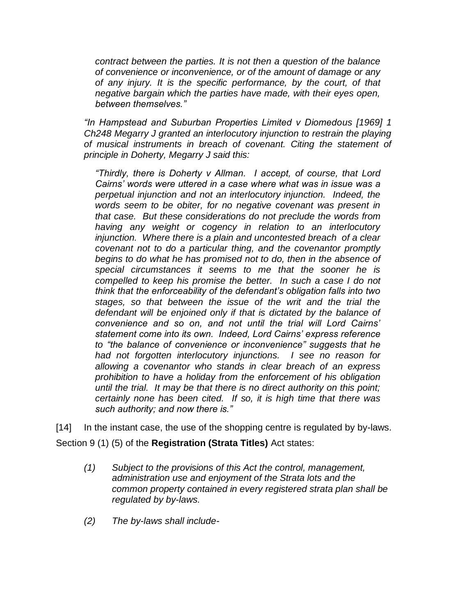*contract between the parties. It is not then a question of the balance of convenience or inconvenience, or of the amount of damage or any of any injury. It is the specific performance, by the court, of that negative bargain which the parties have made, with their eyes open, between themselves."*

*"In Hampstead and Suburban Properties Limited v Diomedous [1969] 1 Ch248 Megarry J granted an interlocutory injunction to restrain the playing of musical instruments in breach of covenant. Citing the statement of principle in Doherty, Megarry J said this:*

*"Thirdly, there is Doherty v Allman. I accept, of course, that Lord Cairns' words were uttered in a case where what was in issue was a perpetual injunction and not an interlocutory injunction. Indeed, the words seem to be obiter, for no negative covenant was present in that case. But these considerations do not preclude the words from having any weight or cogency in relation to an interlocutory injunction. Where there is a plain and uncontested breach of a clear covenant not to do a particular thing, and the covenantor promptly begins to do what he has promised not to do, then in the absence of special circumstances it seems to me that the sooner he is compelled to keep his promise the better. In such a case I do not think that the enforceability of the defendant's obligation falls into two stages, so that between the issue of the writ and the trial the defendant will be enjoined only if that is dictated by the balance of convenience and so on, and not until the trial will Lord Cairns' statement come into its own. Indeed, Lord Cairns' express reference to "the balance of convenience or inconvenience" suggests that he had not forgotten interlocutory injunctions. I see no reason for allowing a covenantor who stands in clear breach of an express prohibition to have a holiday from the enforcement of his obligation until the trial. It may be that there is no direct authority on this point; certainly none has been cited. If so, it is high time that there was such authority; and now there is."*

[14] In the instant case, the use of the shopping centre is regulated by by-laws. Section 9 (1) (5) of the **Registration (Strata Titles)** Act states:

- *(1) Subject to the provisions of this Act the control, management, administration use and enjoyment of the Strata lots and the common property contained in every registered strata plan shall be regulated by by-laws.*
- *(2) The by-laws shall include-*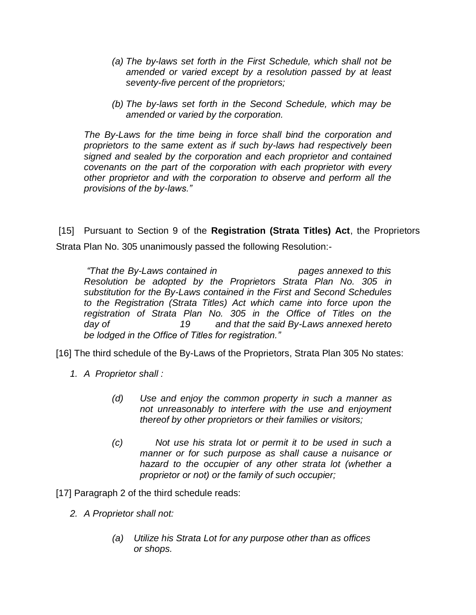- *(a) The by-laws set forth in the First Schedule, which shall not be amended or varied except by a resolution passed by at least seventy-five percent of the proprietors;*
- *(b) The by-laws set forth in the Second Schedule, which may be amended or varied by the corporation.*

*The By-Laws for the time being in force shall bind the corporation and proprietors to the same extent as if such by-laws had respectively been signed and sealed by the corporation and each proprietor and contained covenants on the part of the corporation with each proprietor with every other proprietor and with the corporation to observe and perform all the provisions of the by-laws."* 

[15] Pursuant to Section 9 of the **Registration (Strata Titles) Act**, the Proprietors Strata Plan No. 305 unanimously passed the following Resolution:-

*"That the By-Laws contained in pages annexed to this Resolution be adopted by the Proprietors Strata Plan No. 305 in substitution for the By-Laws contained in the First and Second Schedules to the Registration (Strata Titles) Act which came into force upon the registration of Strata Plan No. 305 in the Office of Titles on the day of 19 and that the said By-Laws annexed hereto be lodged in the Office of Titles for registration."*

[16] The third schedule of the By-Laws of the Proprietors, Strata Plan 305 No states:

- *1. A Proprietor shall :*
	- *(d) Use and enjoy the common property in such a manner as not unreasonably to interfere with the use and enjoyment thereof by other proprietors or their families or visitors;*
	- *(c) Not use his strata lot or permit it to be used in such a manner or for such purpose as shall cause a nuisance or hazard to the occupier of any other strata lot (whether a proprietor or not) or the family of such occupier;*

[17] Paragraph 2 of the third schedule reads:

- *2. A Proprietor shall not:*
	- *(a) Utilize his Strata Lot for any purpose other than as offices or shops.*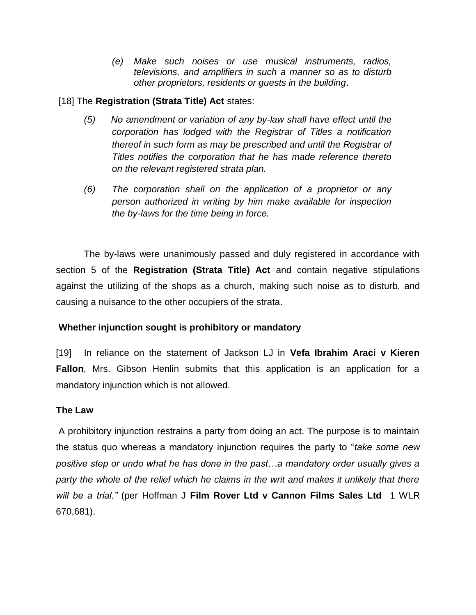*(e) Make such noises or use musical instruments, radios, televisions, and amplifiers in such a manner so as to disturb other proprietors, residents or guests in the building*.

# [18] The **Registration (Strata Title) Act** states:

- *(5) No amendment or variation of any by-law shall have effect until the corporation has lodged with the Registrar of Titles a notification thereof in such form as may be prescribed and until the Registrar of Titles notifies the corporation that he has made reference thereto on the relevant registered strata plan.*
- *(6) The corporation shall on the application of a proprietor or any person authorized in writing by him make available for inspection the by-laws for the time being in force.*

The by-laws were unanimously passed and duly registered in accordance with section 5 of the **Registration (Strata Title) Act** and contain negative stipulations against the utilizing of the shops as a church, making such noise as to disturb, and causing a nuisance to the other occupiers of the strata.

# **Whether injunction sought is prohibitory or mandatory**

[19] In reliance on the statement of Jackson LJ in **Vefa Ibrahim Araci v Kieren Fallon**, Mrs. Gibson Henlin submits that this application is an application for a mandatory injunction which is not allowed.

#### **The Law**

A prohibitory injunction restrains a party from doing an act. The purpose is to maintain the status quo whereas a mandatory injunction requires the party to "*take some new positive step or undo what he has done in the past…a mandatory order usually gives a party the whole of the relief which he claims in the writ and makes it unlikely that there will be a trial."* (per Hoffman J **Film Rover Ltd v Cannon Films Sales Ltd** 1 WLR 670,681).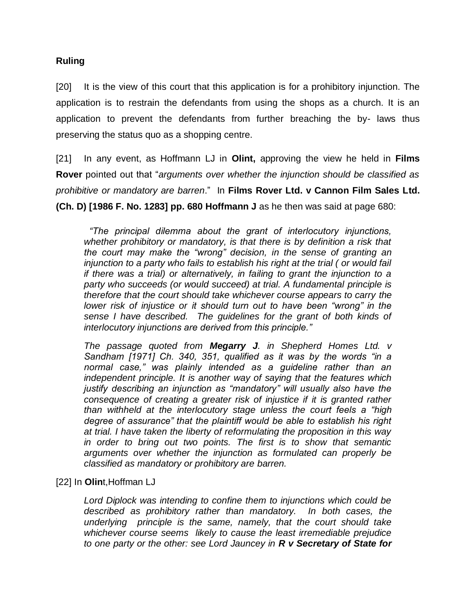#### **Ruling**

[20] It is the view of this court that this application is for a prohibitory injunction. The application is to restrain the defendants from using the shops as a church. It is an application to prevent the defendants from further breaching the by- laws thus preserving the status quo as a shopping centre.

[21] In any event, as Hoffmann LJ in **Olint,** approving the view he held in **Films Rover** pointed out that "*arguments over whether the injunction should be classified as prohibitive or mandatory are barren*." In **Films Rover Ltd. v Cannon Film Sales Ltd. (Ch. D) [1986 F. No. 1283] pp. 680 Hoffmann J** as he then was said at page 680:

 *"The principal dilemma about the grant of interlocutory injunctions, whether prohibitory or mandatory, is that there is by definition a risk that the court may make the "wrong" decision, in the sense of granting an injunction to a party who fails to establish his right at the trial ( or would fail if there was a trial) or alternatively, in failing to grant the injunction to a party who succeeds (or would succeed) at trial. A fundamental principle is therefore that the court should take whichever course appears to carry the lower risk of injustice or it should turn out to have been "wrong" in the sense I have described. The guidelines for the grant of both kinds of interlocutory injunctions are derived from this principle."* 

*The passage quoted from Megarry J. in Shepherd Homes Ltd. v Sandham [1971] Ch. 340, 351, qualified as it was by the words "in a normal case," was plainly intended as a guideline rather than an independent principle. It is another way of saying that the features which justify describing an injunction as "mandatory" will usually also have the consequence of creating a greater risk of injustice if it is granted rather than withheld at the interlocutory stage unless the court feels a "high degree of assurance" that the plaintiff would be able to establish his right at trial. I have taken the liberty of reformulating the proposition in this way in order to bring out two points. The first is to show that semantic arguments over whether the injunction as formulated can properly be classified as mandatory or prohibitory are barren.*

#### [22] In **Olin**t,Hoffman LJ

*Lord Diplock was intending to confine them to injunctions which could be described as prohibitory rather than mandatory. In both cases, the underlying principle is the same, namely, that the court should take whichever course seems likely to cause the least irremediable prejudice to one party or the other: see Lord Jauncey in R v Secretary of State for*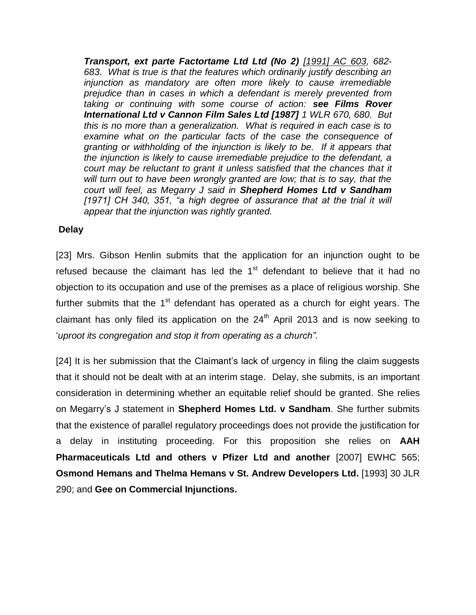*Transport, ext parte Factortame Ltd Ltd (No 2) [1991] AC 603, 682- 683. What is true is that the features which ordinarily justify describing an injunction as mandatory are often more likely to cause irremediable prejudice than in cases in which a defendant is merely prevented from taking or continuing with some course of action: see Films Rover International Ltd v Cannon Film Sales Ltd [1987] 1 WLR 670, 680. But this is no more than a generalization. What is required in each case is to examine what on the particular facts of the case the consequence of granting or withholding of the injunction is likely to be. If it appears that the injunction is likely to cause irremediable prejudice to the defendant, a court may be reluctant to grant it unless satisfied that the chances that it will turn out to have been wrongly granted are low; that is to say, that the court will feel, as Megarry J said in Shepherd Homes Ltd v Sandham* [1971] CH 340, 351, "a high degree of assurance that at the trial it will *appear that the injunction was rightly granted.*

#### **Delay**

[23] Mrs. Gibson Henlin submits that the application for an injunction ought to be refused because the claimant has led the  $1<sup>st</sup>$  defendant to believe that it had no objection to its occupation and use of the premises as a place of religious worship. She further submits that the 1<sup>st</sup> defendant has operated as a church for eight years. The claimant has only filed its application on the  $24<sup>th</sup>$  April 2013 and is now seeking to '*uproot its congregation and stop it from operating as a church"*.

[24] It is her submission that the Claimant's lack of urgency in filing the claim suggests that it should not be dealt with at an interim stage. Delay, she submits, is an important consideration in determining whether an equitable relief should be granted. She relies on Megarry's J statement in **Shepherd Homes Ltd. v Sandham**. She further submits that the existence of parallel regulatory proceedings does not provide the justification for a delay in instituting proceeding. For this proposition she relies on **AAH Pharmaceuticals Ltd and others v Pfizer Ltd and another** [2007] EWHC 565; **Osmond Hemans and Thelma Hemans v St. Andrew Developers Ltd.** [1993] 30 JLR 290; and **Gee on Commercial Injunctions.**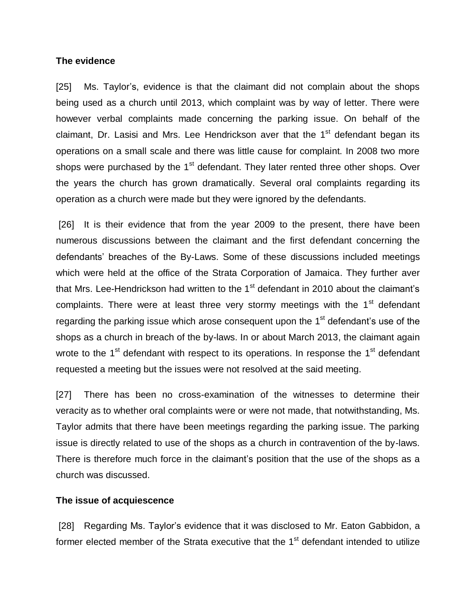#### **The evidence**

[25] Ms. Taylor's, evidence is that the claimant did not complain about the shops being used as a church until 2013, which complaint was by way of letter. There were however verbal complaints made concerning the parking issue. On behalf of the claimant, Dr. Lasisi and Mrs. Lee Hendrickson aver that the 1<sup>st</sup> defendant began its operations on a small scale and there was little cause for complaint. In 2008 two more shops were purchased by the  $1<sup>st</sup>$  defendant. They later rented three other shops. Over the years the church has grown dramatically. Several oral complaints regarding its operation as a church were made but they were ignored by the defendants.

[26] It is their evidence that from the year 2009 to the present, there have been numerous discussions between the claimant and the first defendant concerning the defendants' breaches of the By-Laws. Some of these discussions included meetings which were held at the office of the Strata Corporation of Jamaica. They further aver that Mrs. Lee-Hendrickson had written to the  $1<sup>st</sup>$  defendant in 2010 about the claimant's complaints. There were at least three very stormy meetings with the 1<sup>st</sup> defendant regarding the parking issue which arose consequent upon the  $1<sup>st</sup>$  defendant's use of the shops as a church in breach of the by-laws. In or about March 2013, the claimant again wrote to the 1<sup>st</sup> defendant with respect to its operations. In response the 1<sup>st</sup> defendant requested a meeting but the issues were not resolved at the said meeting.

[27] There has been no cross-examination of the witnesses to determine their veracity as to whether oral complaints were or were not made, that notwithstanding, Ms. Taylor admits that there have been meetings regarding the parking issue. The parking issue is directly related to use of the shops as a church in contravention of the by-laws. There is therefore much force in the claimant's position that the use of the shops as a church was discussed.

#### **The issue of acquiescence**

[28] Regarding Ms. Taylor's evidence that it was disclosed to Mr. Eaton Gabbidon, a former elected member of the Strata executive that the 1<sup>st</sup> defendant intended to utilize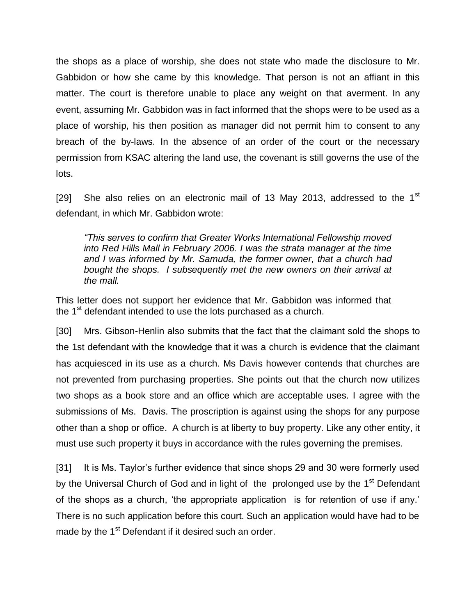the shops as a place of worship, she does not state who made the disclosure to Mr. Gabbidon or how she came by this knowledge. That person is not an affiant in this matter. The court is therefore unable to place any weight on that averment. In any event, assuming Mr. Gabbidon was in fact informed that the shops were to be used as a place of worship, his then position as manager did not permit him to consent to any breach of the by-laws. In the absence of an order of the court or the necessary permission from KSAC altering the land use, the covenant is still governs the use of the lots.

[29] She also relies on an electronic mail of 13 May 2013, addressed to the  $1<sup>st</sup>$ defendant, in which Mr. Gabbidon wrote:

*"This serves to confirm that Greater Works International Fellowship moved into Red Hills Mall in February 2006. I was the strata manager at the time and I was informed by Mr. Samuda, the former owner, that a church had bought the shops. I subsequently met the new owners on their arrival at the mall.*

This letter does not support her evidence that Mr. Gabbidon was informed that the  $1<sup>st</sup>$  defendant intended to use the lots purchased as a church.

[30] Mrs. Gibson-Henlin also submits that the fact that the claimant sold the shops to the 1st defendant with the knowledge that it was a church is evidence that the claimant has acquiesced in its use as a church. Ms Davis however contends that churches are not prevented from purchasing properties. She points out that the church now utilizes two shops as a book store and an office which are acceptable uses. I agree with the submissions of Ms. Davis. The proscription is against using the shops for any purpose other than a shop or office. A church is at liberty to buy property. Like any other entity, it must use such property it buys in accordance with the rules governing the premises.

[31] It is Ms. Taylor's further evidence that since shops 29 and 30 were formerly used by the Universal Church of God and in light of the prolonged use by the 1<sup>st</sup> Defendant of the shops as a church, 'the appropriate application is for retention of use if any.' There is no such application before this court. Such an application would have had to be made by the 1<sup>st</sup> Defendant if it desired such an order.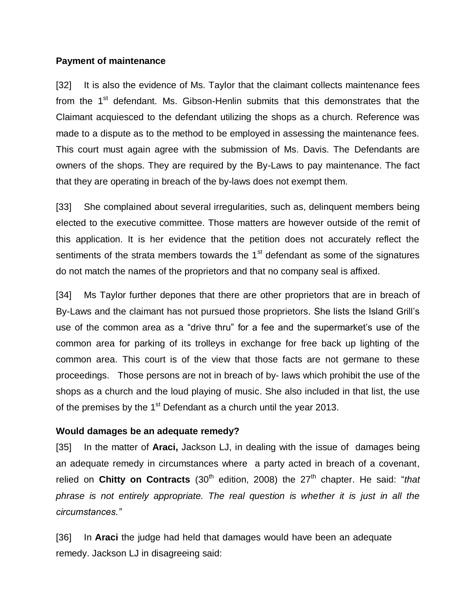#### **Payment of maintenance**

[32] It is also the evidence of Ms. Taylor that the claimant collects maintenance fees from the 1<sup>st</sup> defendant. Ms. Gibson-Henlin submits that this demonstrates that the Claimant acquiesced to the defendant utilizing the shops as a church. Reference was made to a dispute as to the method to be employed in assessing the maintenance fees. This court must again agree with the submission of Ms. Davis. The Defendants are owners of the shops. They are required by the By-Laws to pay maintenance. The fact that they are operating in breach of the by-laws does not exempt them.

[33] She complained about several irregularities, such as, delinquent members being elected to the executive committee. Those matters are however outside of the remit of this application. It is her evidence that the petition does not accurately reflect the sentiments of the strata members towards the  $1<sup>st</sup>$  defendant as some of the signatures do not match the names of the proprietors and that no company seal is affixed.

[34] Ms Taylor further depones that there are other proprietors that are in breach of By-Laws and the claimant has not pursued those proprietors. She lists the Island Grill's use of the common area as a "drive thru" for a fee and the supermarket's use of the common area for parking of its trolleys in exchange for free back up lighting of the common area. This court is of the view that those facts are not germane to these proceedings. Those persons are not in breach of by- laws which prohibit the use of the shops as a church and the loud playing of music. She also included in that list, the use of the premises by the  $1<sup>st</sup>$  Defendant as a church until the year 2013.

#### **Would damages be an adequate remedy?**

[35] In the matter of **Araci,** Jackson LJ, in dealing with the issue of damages being an adequate remedy in circumstances where a party acted in breach of a covenant, relied on **Chitty on Contracts** (30<sup>th</sup> edition, 2008) the 27<sup>th</sup> chapter. He said: "*that phrase is not entirely appropriate. The real question is whether it is just in all the circumstances."*

[36] In **Araci** the judge had held that damages would have been an adequate remedy. Jackson LJ in disagreeing said: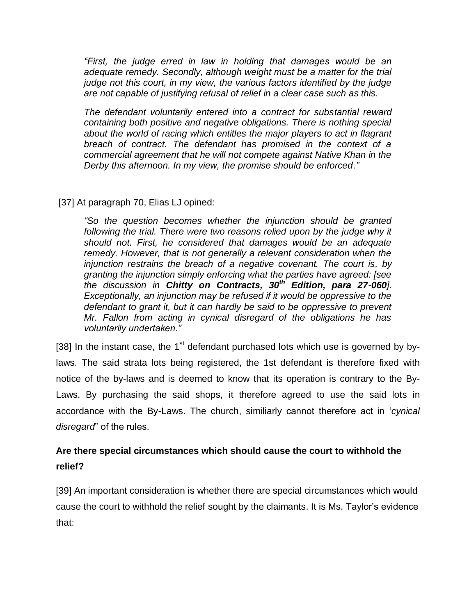*"First, the judge erred in law in holding that damages would be an adequate remedy. Secondly, although weight must be a matter for the trial judge not this court, in my view, the various factors identified by the judge are not capable of justifying refusal of relief in a clear case such as this.*

*The defendant voluntarily entered into a contract for substantial reward containing both positive and negative obligations. There is nothing special about the world of racing which entitles the major players to act in flagrant breach of contract. The defendant has promised in the context of a commercial agreement that he will not compete against Native Khan in the Derby this afternoon. In my view, the promise should be enforced."*

# [37] At paragraph 70, Elias LJ opined:

*"So the question becomes whether the injunction should be granted*  following the trial. There were two reasons relied upon by the judge why it *should not. First, he considered that damages would be an adequate remedy. However, that is not generally a relevant consideration when the injunction restrains the breach of a negative covenant. The court is, by granting the injunction simply enforcing what the parties have agreed: [see the discussion in Chitty on Contracts, 30th Edition, para 27-060]. Exceptionally, an injunction may be refused if it would be oppressive to the defendant to grant it, but it can hardly be said to be oppressive to prevent Mr. Fallon from acting in cynical disregard of the obligations he has voluntarily undertaken."* 

[38] In the instant case, the 1<sup>st</sup> defendant purchased lots which use is governed by bylaws. The said strata lots being registered, the 1st defendant is therefore fixed with notice of the by-laws and is deemed to know that its operation is contrary to the By-Laws. By purchasing the said shops, it therefore agreed to use the said lots in accordance with the By-Laws. The church, similiarly cannot therefore act in '*cynical disregard*" of the rules.

# **Are there special circumstances which should cause the court to withhold the relief?**

[39] An important consideration is whether there are special circumstances which would cause the court to withhold the relief sought by the claimants. It is Ms. Taylor's evidence that: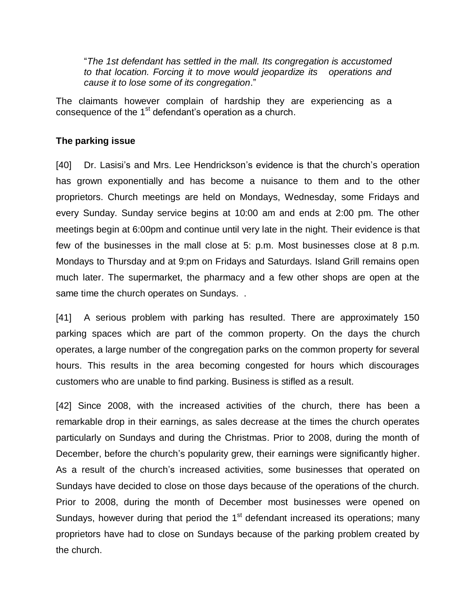"*The 1st defendant has settled in the mall. Its congregation is accustomed to that location. Forcing it to move would jeopardize its operations and cause it to lose some of its congregation*."

The claimants however complain of hardship they are experiencing as a consequence of the 1<sup>st</sup> defendant's operation as a church.

# **The parking issue**

[40] Dr. Lasisi's and Mrs. Lee Hendrickson's evidence is that the church's operation has grown exponentially and has become a nuisance to them and to the other proprietors. Church meetings are held on Mondays, Wednesday, some Fridays and every Sunday. Sunday service begins at 10:00 am and ends at 2:00 pm. The other meetings begin at 6:00pm and continue until very late in the night. Their evidence is that few of the businesses in the mall close at 5: p.m. Most businesses close at 8 p.m. Mondays to Thursday and at 9:pm on Fridays and Saturdays. Island Grill remains open much later. The supermarket, the pharmacy and a few other shops are open at the same time the church operates on Sundays. .

[41] A serious problem with parking has resulted. There are approximately 150 parking spaces which are part of the common property. On the days the church operates, a large number of the congregation parks on the common property for several hours. This results in the area becoming congested for hours which discourages customers who are unable to find parking. Business is stifled as a result.

[42] Since 2008, with the increased activities of the church, there has been a remarkable drop in their earnings, as sales decrease at the times the church operates particularly on Sundays and during the Christmas. Prior to 2008, during the month of December, before the church's popularity grew, their earnings were significantly higher. As a result of the church's increased activities, some businesses that operated on Sundays have decided to close on those days because of the operations of the church. Prior to 2008, during the month of December most businesses were opened on Sundays, however during that period the 1<sup>st</sup> defendant increased its operations; many proprietors have had to close on Sundays because of the parking problem created by the church.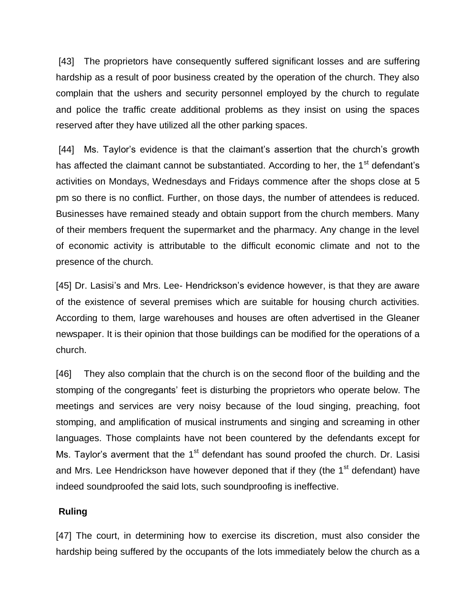[43] The proprietors have consequently suffered significant losses and are suffering hardship as a result of poor business created by the operation of the church. They also complain that the ushers and security personnel employed by the church to regulate and police the traffic create additional problems as they insist on using the spaces reserved after they have utilized all the other parking spaces.

[44] Ms. Taylor's evidence is that the claimant's assertion that the church's growth has affected the claimant cannot be substantiated. According to her, the 1<sup>st</sup> defendant's activities on Mondays, Wednesdays and Fridays commence after the shops close at 5 pm so there is no conflict. Further, on those days, the number of attendees is reduced. Businesses have remained steady and obtain support from the church members. Many of their members frequent the supermarket and the pharmacy. Any change in the level of economic activity is attributable to the difficult economic climate and not to the presence of the church.

[45] Dr. Lasisi's and Mrs. Lee- Hendrickson's evidence however, is that they are aware of the existence of several premises which are suitable for housing church activities. According to them, large warehouses and houses are often advertised in the Gleaner newspaper. It is their opinion that those buildings can be modified for the operations of a church.

[46] They also complain that the church is on the second floor of the building and the stomping of the congregants' feet is disturbing the proprietors who operate below. The meetings and services are very noisy because of the loud singing, preaching, foot stomping, and amplification of musical instruments and singing and screaming in other languages. Those complaints have not been countered by the defendants except for Ms. Taylor's averment that the  $1<sup>st</sup>$  defendant has sound proofed the church. Dr. Lasisi and Mrs. Lee Hendrickson have however deponed that if they (the  $1<sup>st</sup>$  defendant) have indeed soundproofed the said lots, such soundproofing is ineffective.

#### **Ruling**

[47] The court, in determining how to exercise its discretion, must also consider the hardship being suffered by the occupants of the lots immediately below the church as a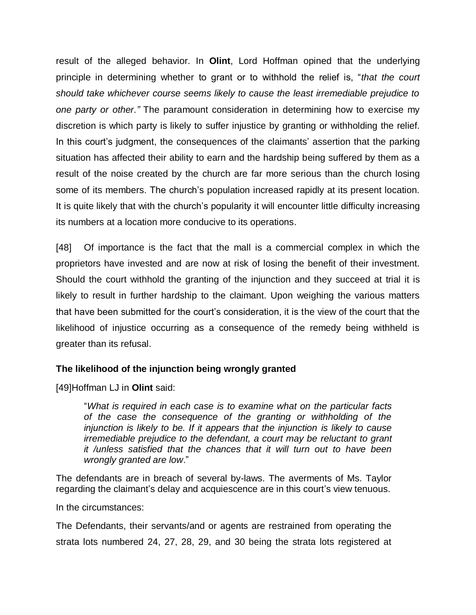result of the alleged behavior. In **Olint**, Lord Hoffman opined that the underlying principle in determining whether to grant or to withhold the relief is, "*that the court should take whichever course seems likely to cause the least irremediable prejudice to one party or other."* The paramount consideration in determining how to exercise my discretion is which party is likely to suffer injustice by granting or withholding the relief. In this court's judgment, the consequences of the claimants' assertion that the parking situation has affected their ability to earn and the hardship being suffered by them as a result of the noise created by the church are far more serious than the church losing some of its members. The church's population increased rapidly at its present location. It is quite likely that with the church's popularity it will encounter little difficulty increasing its numbers at a location more conducive to its operations.

[48] Of importance is the fact that the mall is a commercial complex in which the proprietors have invested and are now at risk of losing the benefit of their investment. Should the court withhold the granting of the injunction and they succeed at trial it is likely to result in further hardship to the claimant. Upon weighing the various matters that have been submitted for the court's consideration, it is the view of the court that the likelihood of injustice occurring as a consequence of the remedy being withheld is greater than its refusal.

#### **The likelihood of the injunction being wrongly granted**

[49]Hoffman LJ in **Olint** said:

"*What is required in each case is to examine what on the particular facts of the case the consequence of the granting or withholding of the injunction is likely to be. If it appears that the injunction is likely to cause irremediable prejudice to the defendant, a court may be reluctant to grant it /unless satisfied that the chances that it will turn out to have been wrongly granted are low*."

The defendants are in breach of several by-laws. The averments of Ms. Taylor regarding the claimant's delay and acquiescence are in this court's view tenuous.

In the circumstances:

The Defendants, their servants/and or agents are restrained from operating the strata lots numbered 24, 27, 28, 29, and 30 being the strata lots registered at